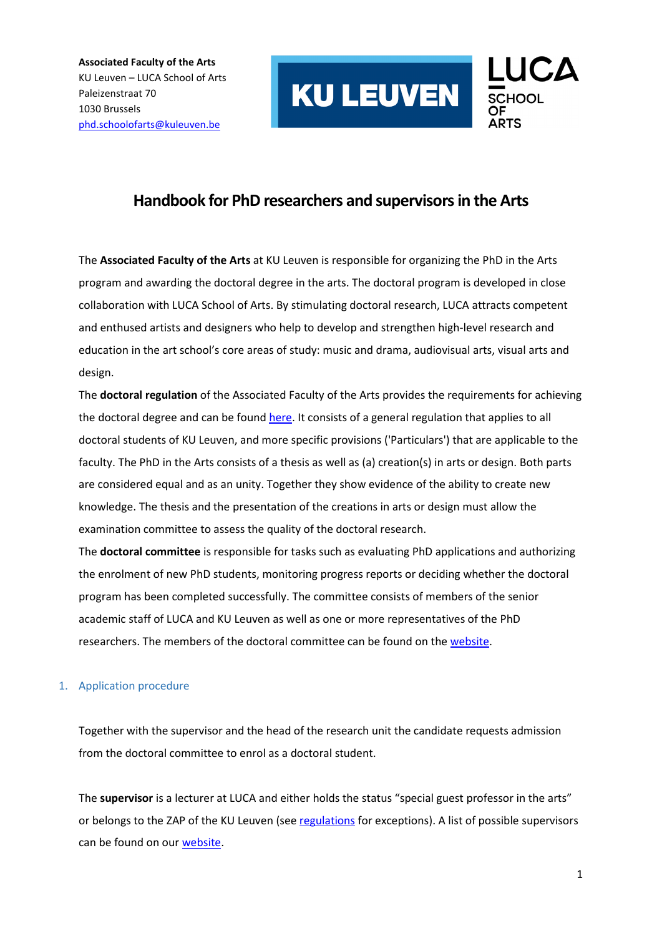

### **Handbook for PhD researchers and supervisors in the Arts**

The **Associated Faculty of the Arts** at KU Leuven is responsible for organizing the PhD in the Arts program and awarding the doctoral degree in the arts. The doctoral program is developed in close collaboration with LUCA School of Arts. By stimulating doctoral research, LUCA attracts competent and enthused artists and designers who help to develop and strengthen high-level research and education in the art school's core areas of study: music and drama, audiovisual arts, visual arts and design.

The **doctoral regulation** of the Associated Faculty of the Arts provides the requirements for achieving the doctoral degree and can be found [here.](https://admin.kuleuven.be/rd/doctoraatsreglement/en/phdregulation-afa) It consists of a general regulation that applies to all doctoral students of KU Leuven, and more specific provisions ('Particulars') that are applicable to the faculty. The PhD in the Arts consists of a thesis as well as (a) creation(s) in arts or design. Both parts are considered equal and as an unity. Together they show evidence of the ability to create new knowledge. The thesis and the presentation of the creations in arts or design must allow the examination committee to assess the quality of the doctoral research.

The **doctoral committee** is responsible for tasks such as evaluating PhD applications and authorizing the enrolment of new PhD students, monitoring progress reports or deciding whether the doctoral program has been completed successfully. The committee consists of members of the senior academic staff of LUCA and KU Leuven as well as one or more representatives of the PhD researchers. The members of the doctoral committee can be found on the [website.](https://www.luca-arts.be/en/doctorate-in-the-arts)

#### 1. Application procedure

Together with the supervisor and the head of the research unit the candidate requests admission from the doctoral committee to enrol as a doctoral student.

The **supervisor** is a lecturer at LUCA and either holds the status "special guest professor in the arts" or belongs to the ZAP of the KU Leuven (see [regulations](https://admin.kuleuven.be/rd/doctoraatsreglement/en/phdregulation-afa) for exceptions). A list of possible supervisors can be found on ou[r website.](https://www.luca-arts.be/en/doctorate-in-the-arts#supervisors)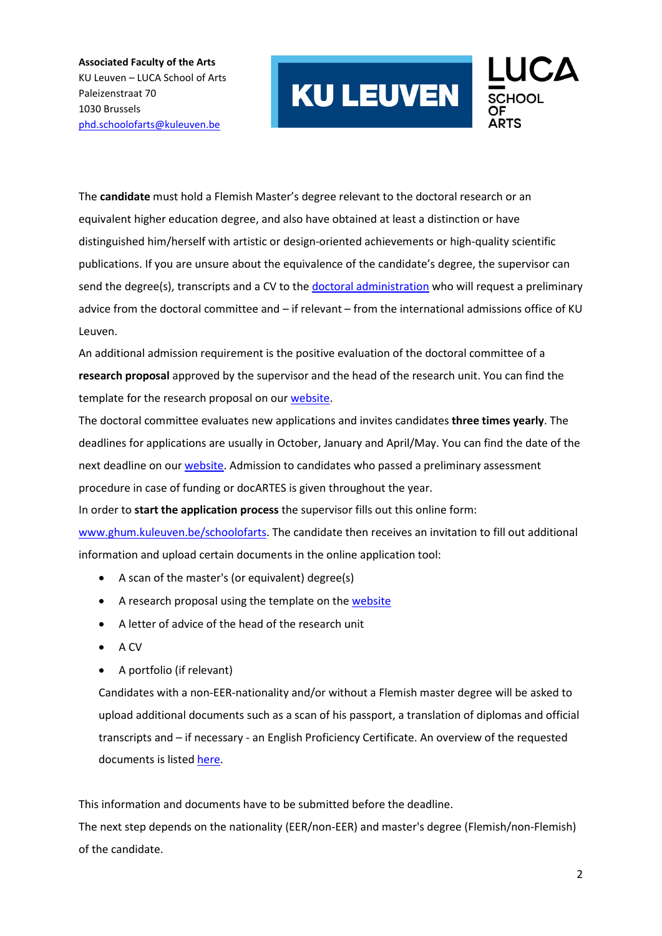

The **candidate** must hold a Flemish Master's degree relevant to the doctoral research or an equivalent higher education degree, and also have obtained at least a distinction or have distinguished him/herself with artistic or design-oriented achievements or high-quality scientific publications. If you are unsure about the equivalence of the candidate's degree, the supervisor can send the degree(s), transcripts and a CV to the [doctoral administration](mailto:phd.schoolofarts@kuleuven.be) who will request a preliminary advice from the doctoral committee and – if relevant – from the international admissions office of KU Leuven.

An additional admission requirement is the positive evaluation of the doctoral committee of a **research proposal** approved by the supervisor and the head of the research unit. You can find the template for the research proposal on ou[r website.](https://www.luca-arts.be/en/doctorate-in-the-arts#application_procedure)

The doctoral committee evaluates new applications and invites candidates **three times yearly**. The deadlines for applications are usually in October, January and April/May. You can find the date of the next deadline on our [website.](https://www.luca-arts.be/en/doctorate-in-the-arts#application_procedure) Admission to candidates who passed a preliminary assessment procedure in case of funding or docARTES is given throughout the year.

In order to **start the application process** the supervisor fills out this online form:

[www.ghum.kuleuven.be/schoolofarts.](http://www.ghum.kuleuven.be/schoolofarts) The candidate then receives an invitation to fill out additional information and upload certain documents in the online application tool:

- A scan of the master's (or equivalent) degree(s)
- A research proposal using the template on th[e website](https://www.luca-arts.be/en/doctorate-in-the-arts#application_procedure)
- A letter of advice of the head of the research unit
- A CV
- A portfolio (if relevant)

Candidates with a non-EER-nationality and/or without a Flemish master degree will be asked to upload additional documents such as a scan of his passport, a translation of diplomas and official transcripts and – if necessary - an English Proficiency Certificate. An overview of the requested documents is liste[d here.](https://www.kuleuven.be/english/application/requested-documents-doctoral)

This information and documents have to be submitted before the deadline.

The next step depends on the nationality (EER/non-EER) and master's degree (Flemish/non-Flemish) of the candidate.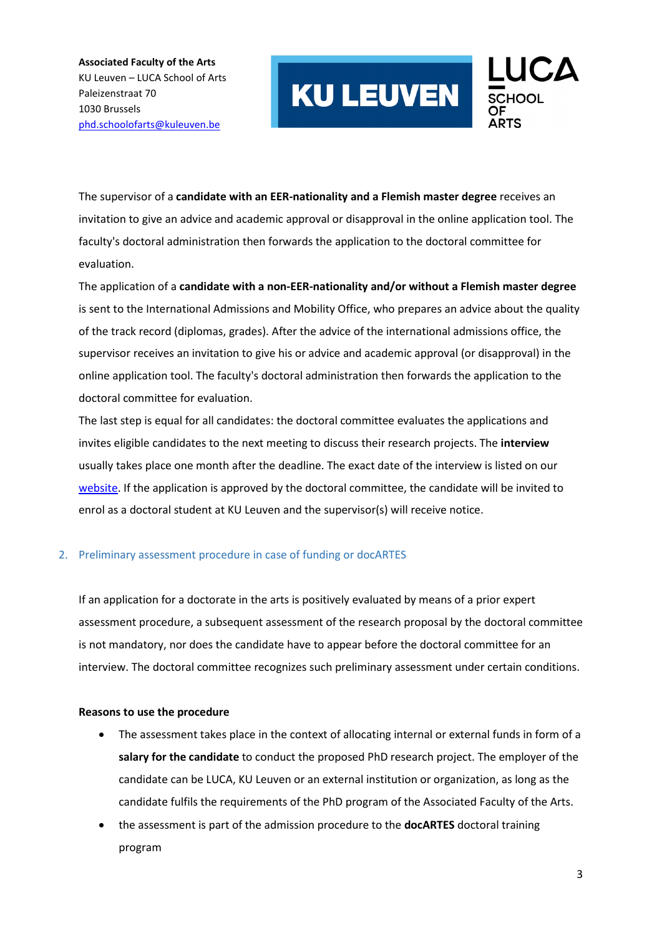

The supervisor of a **candidate with an EER-nationality and a Flemish master degree** receives an invitation to give an advice and academic approval or disapproval in the online application tool. The faculty's doctoral administration then forwards the application to the doctoral committee for evaluation.

The application of a **candidate with a non-EER-nationality and/or without a Flemish master degree** is sent to the International Admissions and Mobility Office, who prepares an advice about the quality of the track record (diplomas, grades). After the advice of the international admissions office, the supervisor receives an invitation to give his or advice and academic approval (or disapproval) in the online application tool. The faculty's doctoral administration then forwards the application to the doctoral committee for evaluation.

The last step is equal for all candidates: the doctoral committee evaluates the applications and invites eligible candidates to the next meeting to discuss their research projects. The **interview** usually takes place one month after the deadline. The exact date of the interview is listed on our [website.](https://www.luca-arts.be/en/doctorate-in-the-arts) If the application is approved by the doctoral committee, the candidate will be invited to enrol as a doctoral student at KU Leuven and the supervisor(s) will receive notice.

#### 2. Preliminary assessment procedure in case of funding or docARTES

If an application for a doctorate in the arts is positively evaluated by means of a prior expert assessment procedure, a subsequent assessment of the research proposal by the doctoral committee is not mandatory, nor does the candidate have to appear before the doctoral committee for an interview. The doctoral committee recognizes such preliminary assessment under certain conditions.

#### **Reasons to use the procedure**

- The assessment takes place in the context of allocating internal or external funds in form of a **salary for the candidate** to conduct the proposed PhD research project. The employer of the candidate can be LUCA, KU Leuven or an external institution or organization, as long as the candidate fulfils the requirements of the PhD program of the Associated Faculty of the Arts.
- the assessment is part of the admission procedure to the **docARTES** doctoral training program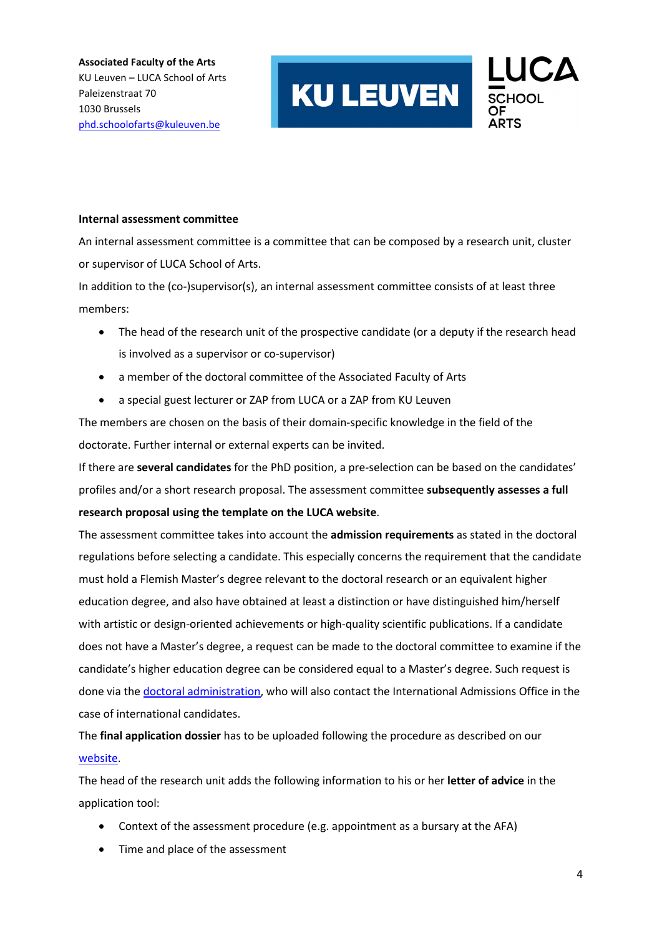

#### **Internal assessment committee**

An internal assessment committee is a committee that can be composed by a research unit, cluster or supervisor of LUCA School of Arts.

In addition to the (co-)supervisor(s), an internal assessment committee consists of at least three members:

- The head of the research unit of the prospective candidate (or a deputy if the research head is involved as a supervisor or co-supervisor)
- a member of the doctoral committee of the Associated Faculty of Arts
- a special guest lecturer or ZAP from LUCA or a ZAP from KU Leuven

The members are chosen on the basis of their domain-specific knowledge in the field of the doctorate. Further internal or external experts can be invited.

If there are **several candidates** for the PhD position, a pre-selection can be based on the candidates' profiles and/or a short research proposal. The assessment committee **subsequently assesses a full research proposal using the template on the LUCA website**.

The assessment committee takes into account the **admission requirements** as stated in the doctoral regulations before selecting a candidate. This especially concerns the requirement that the candidate must hold a Flemish Master's degree relevant to the doctoral research or an equivalent higher education degree, and also have obtained at least a distinction or have distinguished him/herself with artistic or design-oriented achievements or high-quality scientific publications. If a candidate does not have a Master's degree, a request can be made to the doctoral committee to examine if the candidate's higher education degree can be considered equal to a Master's degree. Such request is done via the [doctoral administration,](mailto:phd.schoolofarts@kuleuven.be) who will also contact the International Admissions Office in the case of international candidates.

The **final application dossier** has to be uploaded following the procedure as described on our [website.](https://www.luca-arts.be/en/doctorate-in-the-arts#application_procedure)

The head of the research unit adds the following information to his or her **letter of advice** in the application tool:

- Context of the assessment procedure (e.g. appointment as a bursary at the AFA)
- Time and place of the assessment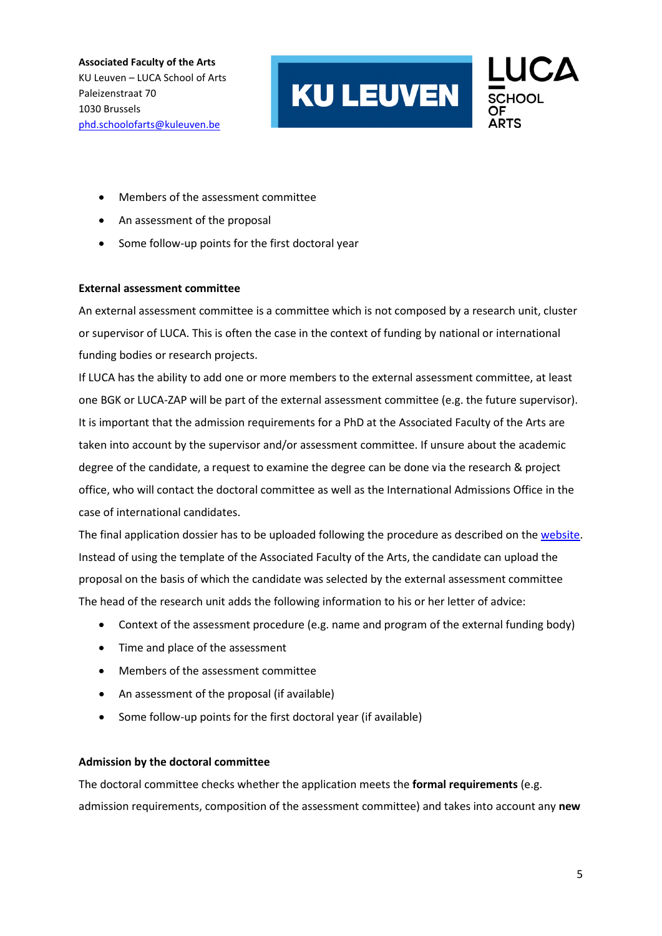

- Members of the assessment committee
- An assessment of the proposal
- Some follow-up points for the first doctoral year

#### **External assessment committee**

An external assessment committee is a committee which is not composed by a research unit, cluster or supervisor of LUCA. This is often the case in the context of funding by national or international funding bodies or research projects.

If LUCA has the ability to add one or more members to the external assessment committee, at least one BGK or LUCA-ZAP will be part of the external assessment committee (e.g. the future supervisor). It is important that the admission requirements for a PhD at the Associated Faculty of the Arts are taken into account by the supervisor and/or assessment committee. If unsure about the academic degree of the candidate, a request to examine the degree can be done via the research & project office, who will contact the doctoral committee as well as the International Admissions Office in the case of international candidates.

The final application dossier has to be uploaded following the procedure as described on th[e website.](https://www.luca-arts.be/en/doctorate-in-the-arts#application_procedure) Instead of using the template of the Associated Faculty of the Arts, the candidate can upload the proposal on the basis of which the candidate was selected by the external assessment committee The head of the research unit adds the following information to his or her letter of advice:

- Context of the assessment procedure (e.g. name and program of the external funding body)
- Time and place of the assessment
- Members of the assessment committee
- An assessment of the proposal (if available)
- Some follow-up points for the first doctoral year (if available)

#### **Admission by the doctoral committee**

The doctoral committee checks whether the application meets the **formal requirements** (e.g. admission requirements, composition of the assessment committee) and takes into account any **new**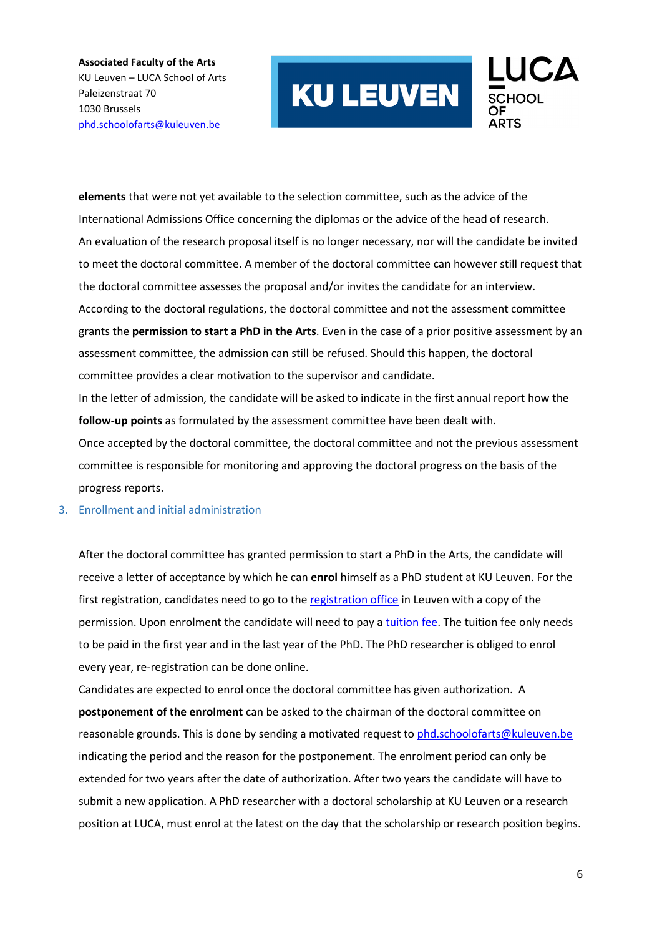

**elements** that were not yet available to the selection committee, such as the advice of the International Admissions Office concerning the diplomas or the advice of the head of research. An evaluation of the research proposal itself is no longer necessary, nor will the candidate be invited to meet the doctoral committee. A member of the doctoral committee can however still request that the doctoral committee assesses the proposal and/or invites the candidate for an interview. According to the doctoral regulations, the doctoral committee and not the assessment committee grants the **permission to start a PhD in the Arts**. Even in the case of a prior positive assessment by an assessment committee, the admission can still be refused. Should this happen, the doctoral committee provides a clear motivation to the supervisor and candidate. In the letter of admission, the candidate will be asked to indicate in the first annual report how the **follow-up points** as formulated by the assessment committee have been dealt with. Once accepted by the doctoral committee, the doctoral committee and not the previous assessment

committee is responsible for monitoring and approving the doctoral progress on the basis of the progress reports.

#### 3. Enrollment and initial administration

After the doctoral committee has granted permission to start a PhD in the Arts, the candidate will receive a letter of acceptance by which he can **enrol** himself as a PhD student at KU Leuven. For the first registration, candidates need to go to the [registration office](https://www.kuleuven.be/inschrijvingen/registration/contact/index.html) in Leuven with a copy of the permission. Upon enrolment the candidate will need to pay a [tuition fee.](https://www.kuleuven.be/inschrijvingen/registration/fees) The tuition fee only needs to be paid in the first year and in the last year of the PhD. The PhD researcher is obliged to enrol every year, re-registration can be done online.

Candidates are expected to enrol once the doctoral committee has given authorization. A **postponement of the enrolment** can be asked to the chairman of the doctoral committee on reasonable grounds. This is done by sending a motivated request to [phd.schoolofarts@kuleuven.be](mailto:phd.schoolofarts@kuleuven.be) indicating the period and the reason for the postponement. The enrolment period can only be extended for two years after the date of authorization. After two years the candidate will have to submit a new application. A PhD researcher with a doctoral scholarship at KU Leuven or a research position at LUCA, must enrol at the latest on the day that the scholarship or research position begins.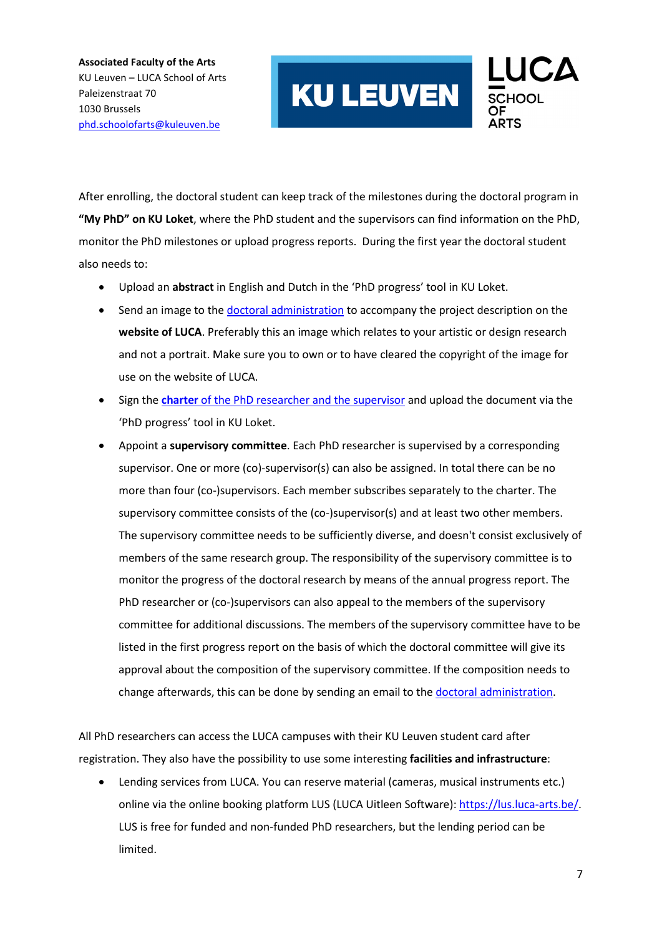

After enrolling, the doctoral student can keep track of the milestones during the doctoral program in **"My PhD" on KU Loket**, where the PhD student and the supervisors can find information on the PhD, monitor the PhD milestones or upload progress reports. During the first year the doctoral student also needs to:

- Upload an **abstract** in English and Dutch in the 'PhD progress' tool in KU Loket.
- Send an image to the [doctoral administration](mailto:phd.schoolofarts@kuleuven.be) to accompany the project description on the **website of LUCA**. Preferably this an image which relates to your artistic or design research and not a portrait. Make sure you to own or to have cleared the copyright of the image for use on the website of LUCA.
- Sign the **charter** [of the PhD researcher and the supervisor](https://www.kuleuven.be/english/research/phd/charter) and upload the document via the 'PhD progress' tool in KU Loket.
- Appoint a **supervisory committee**. Each PhD researcher is supervised by a corresponding supervisor. One or more (co)-supervisor(s) can also be assigned. In total there can be no more than four (co-)supervisors. Each member subscribes separately to the charter. The supervisory committee consists of the (co-)supervisor(s) and at least two other members. The supervisory committee needs to be sufficiently diverse, and doesn't consist exclusively of members of the same research group. The responsibility of the supervisory committee is to monitor the progress of the doctoral research by means of the annual progress report. The PhD researcher or (co-)supervisors can also appeal to the members of the supervisory committee for additional discussions. The members of the supervisory committee have to be listed in the first progress report on the basis of which the doctoral committee will give its approval about the composition of the supervisory committee. If the composition needs to change afterwards, this can be done by sending an email to the [doctoral administration.](mailto:phd.schoolofarts@kuleuven.be)

All PhD researchers can access the LUCA campuses with their KU Leuven student card after registration. They also have the possibility to use some interesting **facilities and infrastructure**:

• Lending services from LUCA. You can reserve material (cameras, musical instruments etc.) online via the online booking platform LUS (LUCA Uitleen Software): [https://lus.luca-arts.be/.](https://lus.luca-arts.be/) LUS is free for funded and non-funded PhD researchers, but the lending period can be limited.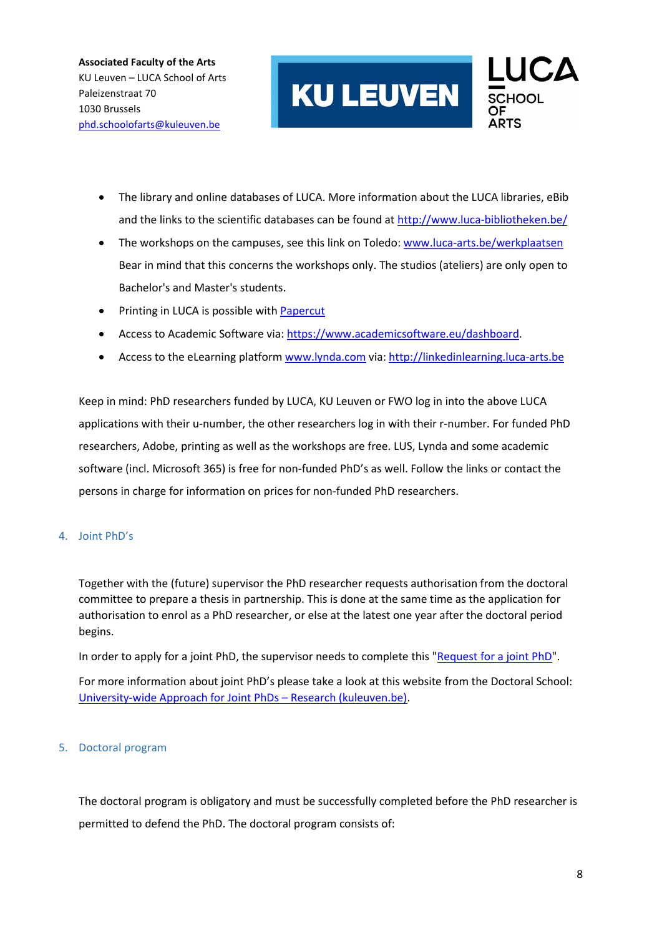

- The library and online databases of LUCA. More information about the LUCA libraries, eBib and the links to the scientific databases can be found a[t http://www.luca-bibliotheken.be/](http://www.luca-bibliotheken.be/)
- The workshops on the campuses, see this link on Toledo: www.luca-arts.be/werkplaatsen Bear in mind that this concerns the workshops only. The studios (ateliers) are only open to Bachelor's and Master's students.
- **Printing in LUCA is possible with [Papercut](https://bib.kuleuven.be/luca/sintlucasbibliotheek/bibliotheekdiensten/print_copy_scan)**
- Access to Academic Software via: [https://www.academicsoftware.eu/dashboard.](https://www.academicsoftware.eu/dashboard)
- Access to the eLearning platform [www.lynda.com](http://www.lynda.com/) via: [http://linkedinlearning.luca-arts.be](http://linkedinlearning.luca-arts.be/)

Keep in mind: PhD researchers funded by LUCA, KU Leuven or FWO log in into the above LUCA applications with their u-number, the other researchers log in with their r-number. For funded PhD researchers, Adobe, printing as well as the workshops are free. LUS, Lynda and some academic software (incl. Microsoft 365) is free for non-funded PhD's as well. Follow the links or contact the persons in charge for information on prices for non-funded PhD researchers.

#### 4. Joint PhD's

Together with the (future) supervisor the PhD researcher requests authorisation from the doctoral committee to prepare a thesis in partnership. This is done at the same time as the application for authorisation to enrol as a PhD researcher, or else at the latest one year after the doctoral period begins.

In order to apply for a joint PhD, the supervisor needs to complete this ["Request for a joint PhD"](https://www.kuleuven.be/english/research/associatienet/joint-phd/application-joint-phd/view).

For more information about joint PhD's please take a look at this website from the Doctoral School: [University-wide Approach for Joint PhDs – Research \(kuleuven.be\).](https://www.kuleuven.be/english/research/phd/jointdegree/index)

#### 5. Doctoral program

The doctoral program is obligatory and must be successfully completed before the PhD researcher is permitted to defend the PhD. The doctoral program consists of: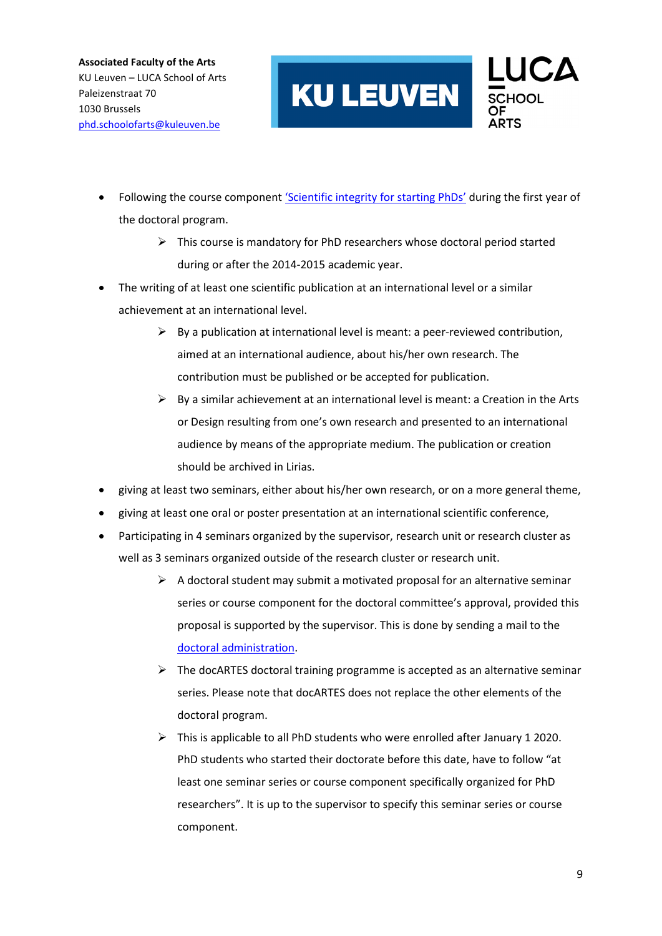

- Following the course component ['Scientific integrity for starting PhDs'](https://www.kuleuven.be/english/research/integrity/training/phdlecture) during the first year of the doctoral program.
	- $\triangleright$  This course is mandatory for PhD researchers whose doctoral period started during or after the 2014-2015 academic year.
- The writing of at least one scientific publication at an international level or a similar achievement at an international level.
	- $\triangleright$  By a publication at international level is meant: a peer-reviewed contribution, aimed at an international audience, about his/her own research. The contribution must be published or be accepted for publication.
	- $\triangleright$  By a similar achievement at an international level is meant: a Creation in the Arts or Design resulting from one's own research and presented to an international audience by means of the appropriate medium. The publication or creation should be archived in [Lirias.](https://lirias2.kuleuven.be/)
- giving at least two seminars, either about his/her own research, or on a more general theme,
- giving at least one oral or poster presentation at an international scientific conference,
- Participating in 4 seminars organized by the supervisor, research unit or research cluster as well as 3 seminars organized outside of the research cluster or research unit.
	- $\triangleright$  A doctoral student may submit a motivated proposal for an alternative seminar series or course component for the doctoral committee's approval, provided this proposal is supported by the supervisor. This is done by sending a mail to the [doctoral administration.](mailto:phd.schoolofarts@kuleuven.be)
	- $\triangleright$  The docARTES doctoral training programme is accepted as an alternative seminar series. Please note that docARTES does not replace the other elements of the doctoral program.
	- $\triangleright$  This is applicable to all PhD students who were enrolled after January 1 2020. PhD students who started their doctorate before this date, have to follow "at least one seminar series or course component specifically organized for PhD researchers". It is up to the supervisor to specify this seminar series or course component.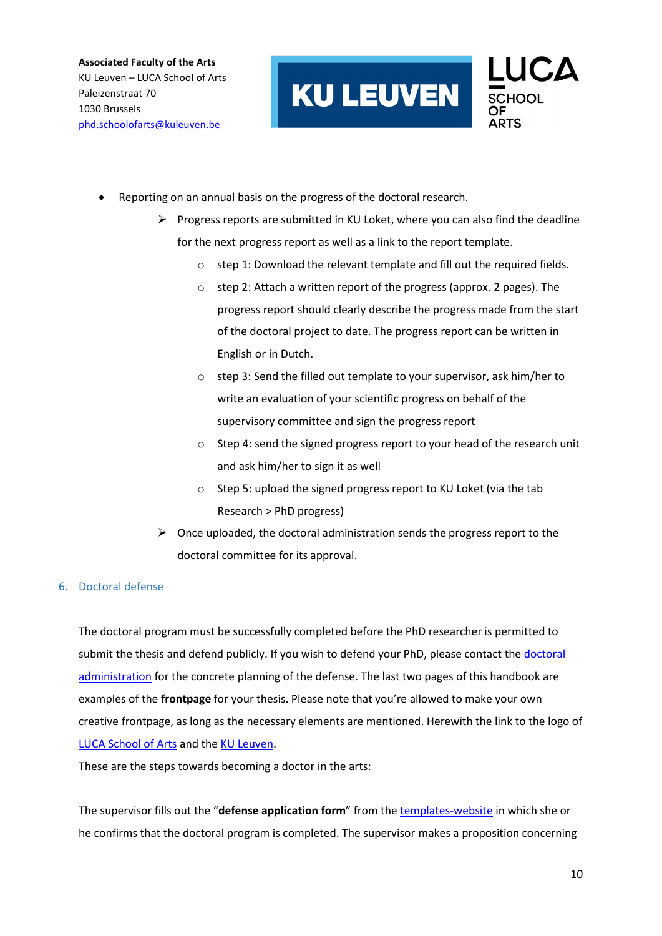

- Reporting on an annual basis on the progress of the doctoral research.
	- $\triangleright$  Progress reports are submitted in KU Loket, where you can also find the deadline for the next progress report as well as a link to the report template.
		- o step 1: Download the relevant template and fill out the required fields.
		- o step 2: Attach a written report of the progress (approx. 2 pages). The progress report should clearly describe the progress made from the start of the doctoral project to date. The progress report can be written in English or in Dutch.
		- o step 3: Send the filled out template to your supervisor, ask him/her to write an evaluation of your scientific progress on behalf of the supervisory committee and sign the progress report
		- o Step 4: send the signed progress report to your head of the research unit and ask him/her to sign it as well
		- o Step 5: upload the signed progress report to KU Loket (via the tab Research > PhD progress)
	- $\triangleright$  Once uploaded, the doctoral administration sends the progress report to the doctoral committee for its approval.

#### 6. Doctoral defense

The doctoral program must be successfully completed before the PhD researcher is permitted to submit the thesis and defend publicly. If you wish to defend your PhD, please contact the doctoral [administration](mailto:phd.schoolofarts@kuleuven.be) for the concrete planning of the defense. The last two pages of this handbook are examples of the **frontpage** for your thesis. Please note that you're allowed to make your own creative frontpage, as long as the necessary elements are mentioned. Herewith the link to the logo of [LUCA School of Arts](https://www.luca-arts.be/nl/logo) and the [KU Leuven.](https://www.kuleuven.be/internationaal/thinktank/fotos-en-logos/ku-leuven-logo.png/view)

These are the steps towards becoming a doctor in the arts:

The supervisor fills out the "**defense application form**" from the [templates-website](https://ghum.kuleuven.be/schoolofarts/templates) in which she or he confirms that the doctoral program is completed. The supervisor makes a proposition concerning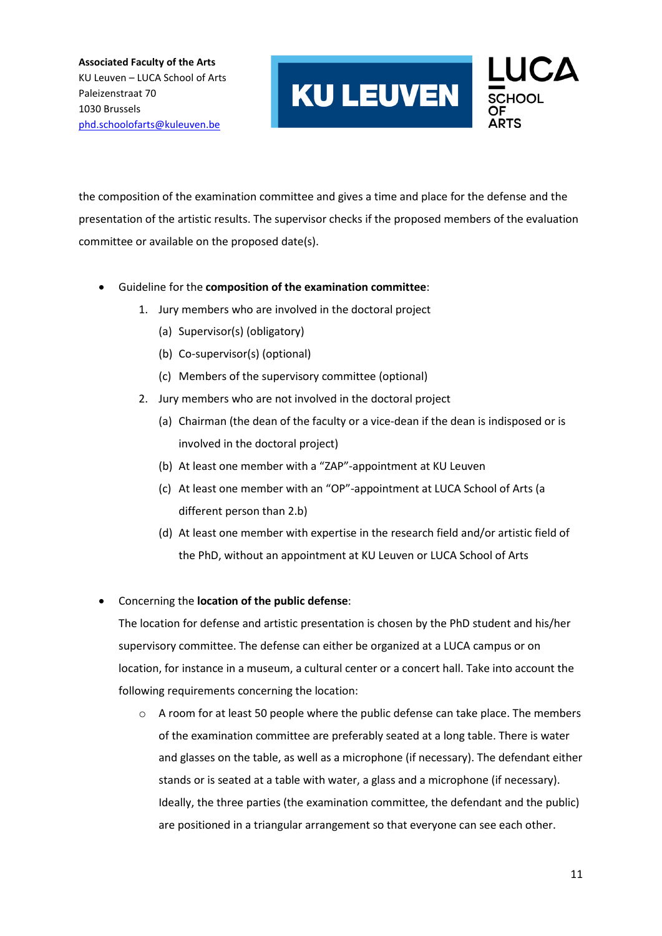

the composition of the examination committee and gives a time and place for the defense and the presentation of the artistic results. The supervisor checks if the proposed members of the evaluation committee or available on the proposed date(s).

- Guideline for the **composition of the examination committee**:
	- 1. Jury members who are involved in the doctoral project
		- (a) Supervisor(s) (obligatory)
		- (b) Co-supervisor(s) (optional)
		- (c) Members of the supervisory committee (optional)
	- 2. Jury members who are not involved in the doctoral project
		- (a) Chairman (the dean of the faculty or a vice-dean if the dean is indisposed or is involved in the doctoral project)
		- (b) At least one member with a "ZAP"-appointment at KU Leuven
		- (c) At least one member with an "OP"-appointment at LUCA School of Arts (a different person than 2.b)
		- (d) At least one member with expertise in the research field and/or artistic field of the PhD, without an appointment at KU Leuven or LUCA School of Arts
- Concerning the **location of the public defense**:

The location for defense and artistic presentation is chosen by the PhD student and his/her supervisory committee. The defense can either be organized at a LUCA campus or on location, for instance in a museum, a cultural center or a concert hall. Take into account the following requirements concerning the location:

 $\circ$  A room for at least 50 people where the public defense can take place. The members of the examination committee are preferably seated at a long table. There is water and glasses on the table, as well as a microphone (if necessary). The defendant either stands or is seated at a table with water, a glass and a microphone (if necessary). Ideally, the three parties (the examination committee, the defendant and the public) are positioned in a triangular arrangement so that everyone can see each other.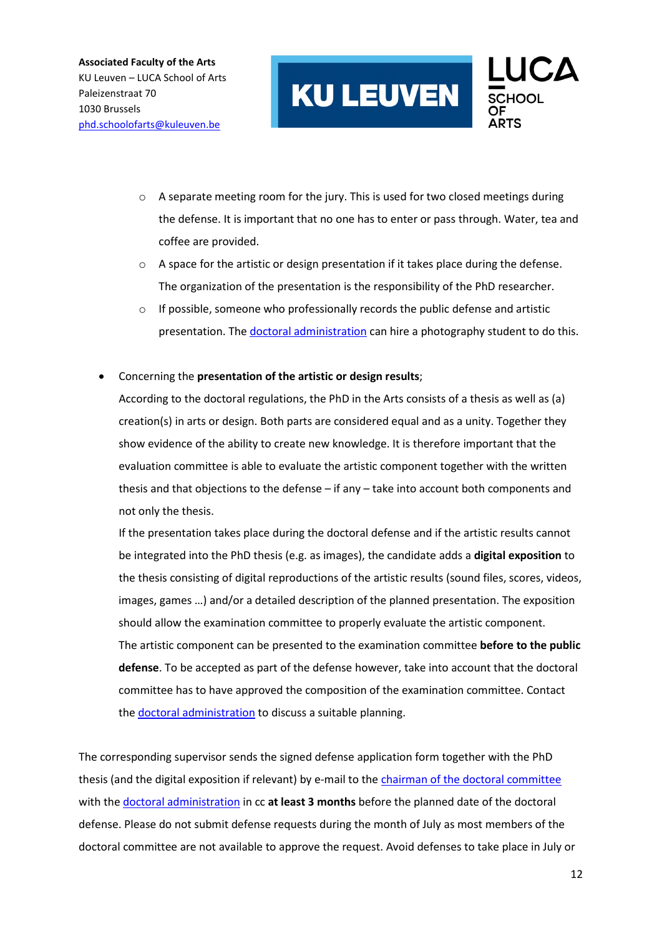

- o A separate meeting room for the jury. This is used for two closed meetings during the defense. It is important that no one has to enter or pass through. Water, tea and coffee are provided.
- $\circ$  A space for the artistic or design presentation if it takes place during the defense. The organization of the presentation is the responsibility of the PhD researcher.
- $\circ$  If possible, someone who professionally records the public defense and artistic presentation. Th[e doctoral administration](mailto:phd.schoolofarts@kuleuven.be) can hire a photography student to do this.
- Concerning the **presentation of the artistic or design results**;

According to the doctoral regulations, the PhD in the Arts consists of a thesis as well as (a) creation(s) in arts or design. Both parts are considered equal and as a unity. Together they show evidence of the ability to create new knowledge. It is therefore important that the evaluation committee is able to evaluate the artistic component together with the written thesis and that objections to the defense – if any – take into account both components and not only the thesis.

If the presentation takes place during the doctoral defense and if the artistic results cannot be integrated into the PhD thesis (e.g. as images), the candidate adds a **digital exposition** to the thesis consisting of digital reproductions of the artistic results (sound files, scores, videos, images, games …) and/or a detailed description of the planned presentation. The exposition should allow the examination committee to properly evaluate the artistic component. The artistic component can be presented to the examination committee **before to the public defense**. To be accepted as part of the defense however, take into account that the doctoral committee has to have approved the composition of the examination committee. Contact the doctoral [administration](mailto:phd.schoolofarts@kuleuven.be) to discuss a suitable planning.

The corresponding supervisor sends the signed defense application form together with the PhD thesis (and the digital exposition if relevant) by e-mail to th[e chairman of the doctoral committee](https://spub.icts.kuleuven.be/sap(bD1ubCZjPTAwMA==)/public/bsp/sap/z_raden_organen/index.htm?objid=56180144) with th[e doctoral administration](mailto:phd.schoolofarts@kuleuven.be) in cc **at least 3 months** before the planned date of the doctoral defense. Please do not submit defense requests during the month of July as most members of the doctoral committee are not available to approve the request. Avoid defenses to take place in July or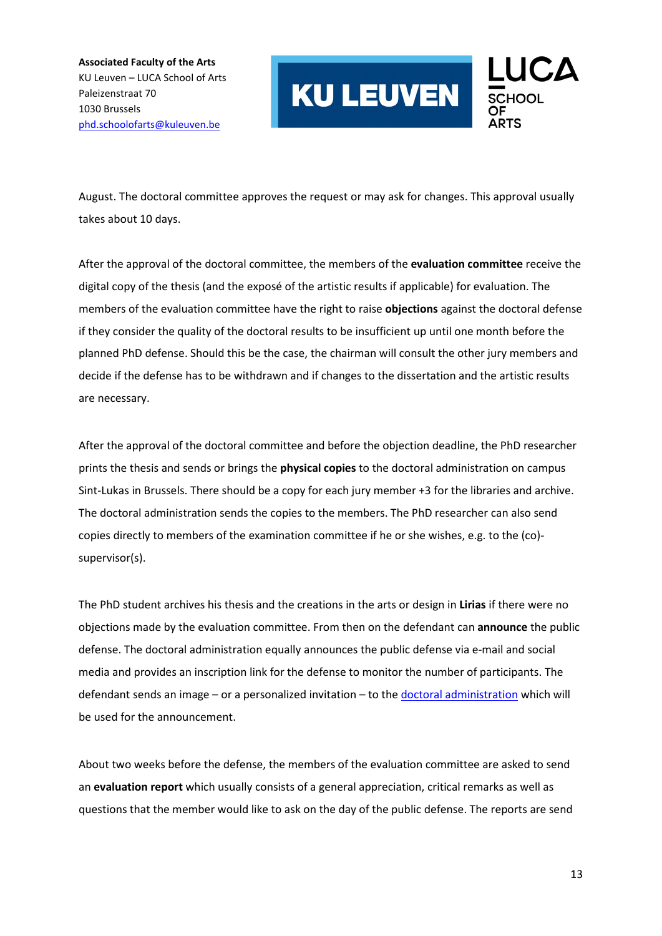

August. The doctoral committee approves the request or may ask for changes. This approval usually takes about 10 days.

After the approval of the doctoral committee, the members of the **evaluation committee** receive the digital copy of the thesis (and the exposé of the artistic results if applicable) for evaluation. The members of the evaluation committee have the right to raise **objections** against the doctoral defense if they consider the quality of the doctoral results to be insufficient up until one month before the planned PhD defense. Should this be the case, the chairman will consult the other jury members and decide if the defense has to be withdrawn and if changes to the dissertation and the artistic results are necessary.

After the approval of the doctoral committee and before the objection deadline, the PhD researcher prints the thesis and sends or brings the **physical copies** to the doctoral administration on campus Sint-Lukas in Brussels. There should be a copy for each jury member +3 for the libraries and archive. The doctoral administration sends the copies to the members. The PhD researcher can also send copies directly to members of the examination committee if he or she wishes, e.g. to the (co) supervisor(s).

The PhD student archives his thesis and the creations in the arts or design in **Lirias** if there were no objections made by the evaluation committee. From then on the defendant can **announce** the public defense. The doctoral administration equally announces the public defense via e-mail and social media and provides an inscription link for the defense to monitor the number of participants. The defendant sends an image – or a personalized invitation – to th[e doctoral administration](mailto:phd.schoolofarts@kuleuven.be) which will be used for the announcement.

About two weeks before the defense, the members of the evaluation committee are asked to send an **evaluation report** which usually consists of a general appreciation, critical remarks as well as questions that the member would like to ask on the day of the public defense. The reports are send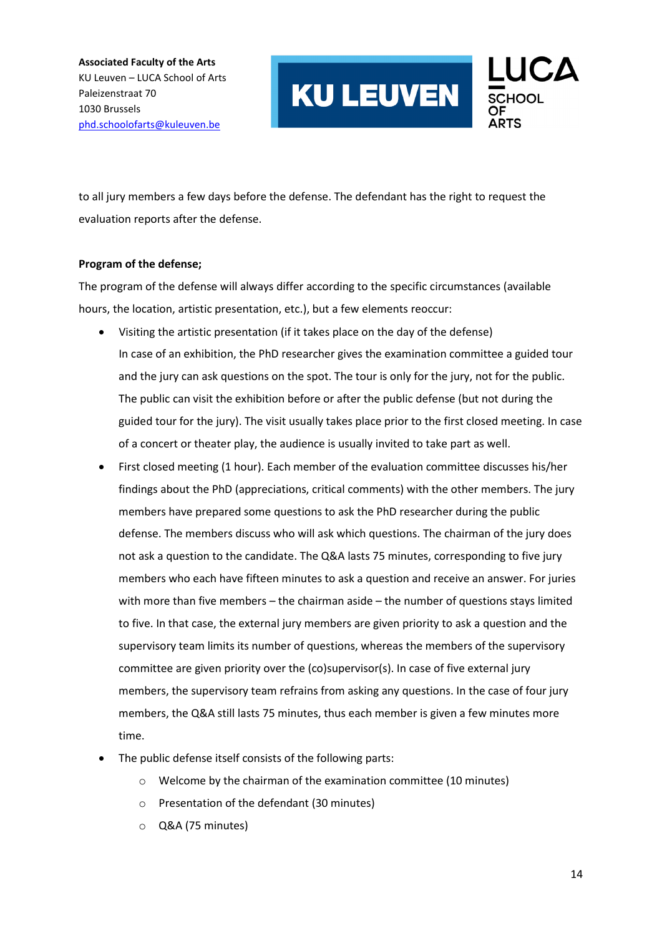

to all jury members a few days before the defense. The defendant has the right to request the evaluation reports after the defense.

#### **Program of the defense;**

The program of the defense will always differ according to the specific circumstances (available hours, the location, artistic presentation, etc.), but a few elements reoccur:

- Visiting the artistic presentation (if it takes place on the day of the defense) In case of an exhibition, the PhD researcher gives the examination committee a guided tour and the jury can ask questions on the spot. The tour is only for the jury, not for the public. The public can visit the exhibition before or after the public defense (but not during the guided tour for the jury). The visit usually takes place prior to the first closed meeting. In case of a concert or theater play, the audience is usually invited to take part as well.
- First closed meeting (1 hour). Each member of the evaluation committee discusses his/her findings about the PhD (appreciations, critical comments) with the other members. The jury members have prepared some questions to ask the PhD researcher during the public defense. The members discuss who will ask which questions. The chairman of the jury does not ask a question to the candidate. The Q&A lasts 75 minutes, corresponding to five jury members who each have fifteen minutes to ask a question and receive an answer. For juries with more than five members – the chairman aside – the number of questions stays limited to five. In that case, the external jury members are given priority to ask a question and the supervisory team limits its number of questions, whereas the members of the supervisory committee are given priority over the (co)supervisor(s). In case of five external jury members, the supervisory team refrains from asking any questions. In the case of four jury members, the Q&A still lasts 75 minutes, thus each member is given a few minutes more time.
- The public defense itself consists of the following parts:
	- o Welcome by the chairman of the examination committee (10 minutes)
	- o Presentation of the defendant (30 minutes)
	- o Q&A (75 minutes)

14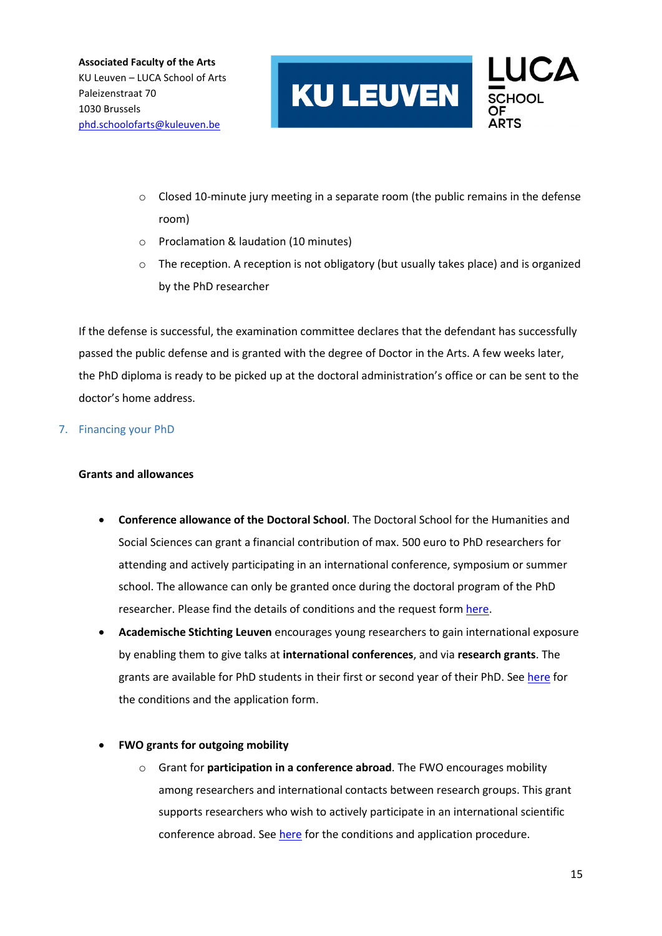

- o Closed 10-minute jury meeting in a separate room (the public remains in the defense room)
- o Proclamation & laudation (10 minutes)
- $\circ$  The reception. A reception is not obligatory (but usually takes place) and is organized by the PhD researcher

If the defense is successful, the examination committee declares that the defendant has successfully passed the public defense and is granted with the degree of Doctor in the Arts. A few weeks later, the PhD diploma is ready to be picked up at the doctoral administration's office or can be sent to the doctor's home address.

#### 7. Financing your PhD

#### **Grants and allowances**

- **Conference allowance of the Doctoral School**. The Doctoral School for the Humanities and Social Sciences can grant a financial contribution of max. 500 euro to PhD researchers for attending and actively participating in an international conference, symposium or summer school. The allowance can only be granted once during the doctoral program of the PhD researcher. Please find the details of conditions and the request form [here.](https://ghum.kuleuven.be/phd/practical_students/informationPhD)
- **Academische Stichting Leuven** encourages young researchers to gain international exposure by enabling them to give talks at **international conferences**, and via **research grants**. The grants are available for PhD students in their first or second year of their PhD. Se[e here](https://www.kuleuven.be/asl/english/grants/index.htm) for the conditions and the application form.
- **FWO grants for outgoing mobility**
	- o Grant for **participation in a conference abroad**. The FWO encourages mobility among researchers and international contacts between research groups. This grant supports researchers who wish to actively participate in an international scientific conference abroad. See [here](https://www.fwo.be/en/fellowships-funding/international-mobility/outgoing-mobility/grant-for-participation-in-a-conference-abroad/) for the conditions and application procedure.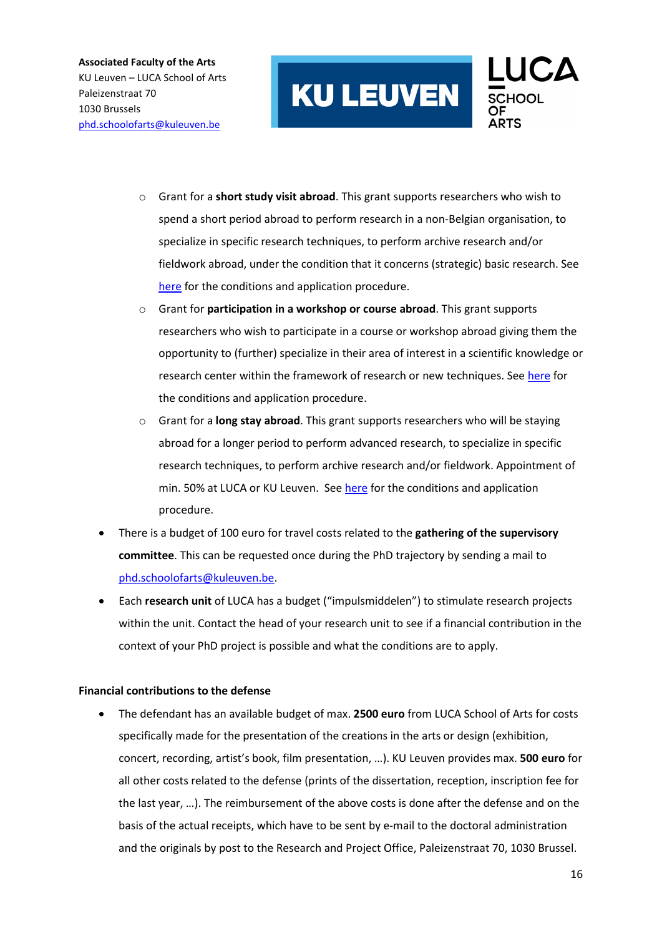

- o Grant for a **short study visit abroad**. This grant supports researchers who wish to spend a short period abroad to perform research in a non-Belgian organisation, to specialize in specific research techniques, to perform archive research and/or fieldwork abroad, under the condition that it concerns (strategic) basic research. See [here](https://www.fwo.be/en/fellowships-funding/international-mobility/outgoing-mobility/grant-for-a-short-study-visit-abroad/) for the conditions and application procedure.
- o Grant for **participation in a workshop or course abroad**. This grant supports researchers who wish to participate in a course or workshop abroad giving them the opportunity to (further) specialize in their area of interest in a scientific knowledge or research center within the framework of research or new techniques. Se[e here](https://www.fwo.be/en/fellowships-funding/international-mobility/outgoing-mobility/grant-for-participation-in-a-workshop-or-course-abroad/) for the conditions and application procedure.
- o Grant for a **long stay abroad**. This grant supports researchers who will be staying abroad for a longer period to perform advanced research, to specialize in specific research techniques, to perform archive research and/or fieldwork. Appointment of min. 50% at LUCA or KU Leuven. See [here](https://www.fwo.be/en/fellowships-funding/international-mobility/outgoing-mobility/grant-for-a-long-stay-abroad/) for the conditions and application procedure.
- There is a budget of 100 euro for travel costs related to the **gathering of the supervisory committee**. This can be requested once during the PhD trajectory by sending a mail to [phd.schoolofarts@kuleuven.be.](mailto:phd.schoolofarts@kuleuven.be)
- Each **research unit** of LUCA has a budget ("impulsmiddelen") to stimulate research projects within the unit. Contact the head of your research unit to see if a financial contribution in the context of your PhD project is possible and what the conditions are to apply.

#### **Financial contributions to the defense**

• The defendant has an available budget of max. **2500 euro** from LUCA School of Arts for costs specifically made for the presentation of the creations in the arts or design (exhibition, concert, recording, artist's book, film presentation, …). KU Leuven provides max. **500 euro** for all other costs related to the defense (prints of the dissertation, reception, inscription fee for the last year, …). The reimbursement of the above costs is done after the defense and on the basis of the actual receipts, which have to be sent by e-mail to the doctoral administration and the originals by post to the Research and Project Office, Paleizenstraat 70, 1030 Brussel.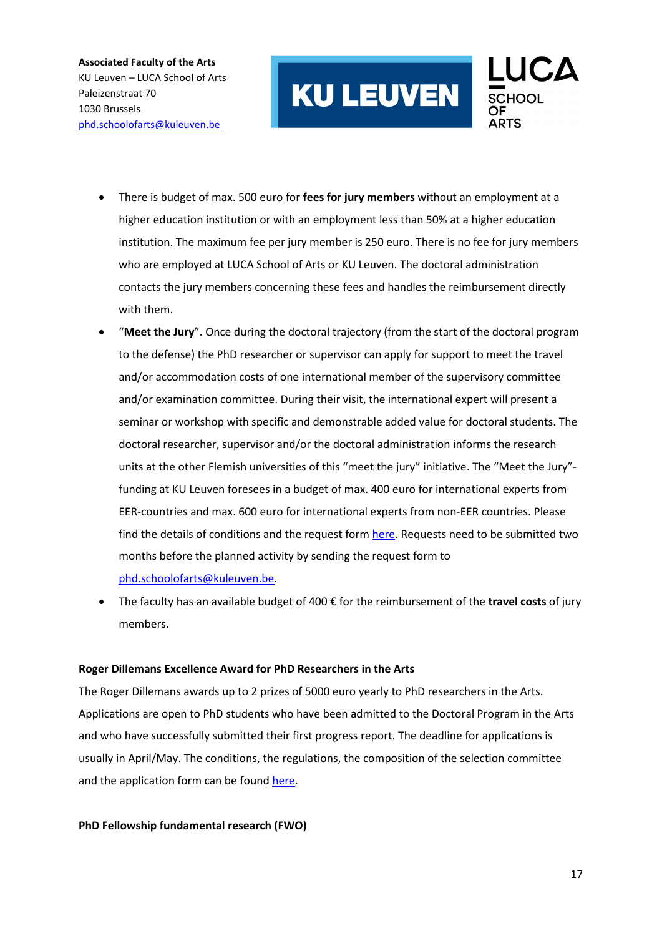

- There is budget of max. 500 euro for **fees for jury members** without an employment at a higher education institution or with an employment less than 50% at a higher education institution. The maximum fee per jury member is 250 euro. There is no fee for jury members who are employed at LUCA School of Arts or KU Leuven. The doctoral administration contacts the jury members concerning these fees and handles the reimbursement directly with them.
- "**Meet the Jury**". Once during the doctoral trajectory (from the start of the doctoral program to the defense) the PhD researcher or supervisor can apply for support to meet the travel and/or accommodation costs of one international member of the supervisory committee and/or examination committee. During their visit, the international expert will present a seminar or workshop with specific and demonstrable added value for doctoral students. The doctoral researcher, supervisor and/or the doctoral administration informs the research units at the other Flemish universities of this "meet the jury" initiative. The "Meet the Jury" funding at KU Leuven foresees in a budget of max. 400 euro for international experts from EER-countries and max. 600 euro for international experts from non-EER countries. Please find the details of conditions and the request form [here.](https://ghum.kuleuven.be/phd/practical_students/informationPhD) Requests need to be submitted two months before the planned activity by sending the request form to [phd.schoolofarts@kuleuven.be.](mailto:phd.schoolofarts@kuleuven.be)
- The faculty has an available budget of 400 € for the reimbursement of the **travel costs** of jury members.

#### **Roger Dillemans Excellence Award for PhD Researchers in the Arts**

The Roger Dillemans awards up to 2 prizes of 5000 euro yearly to PhD researchers in the Arts. Applications are open to PhD students who have been admitted to the Doctoral Program in the Arts and who have successfully submitted their first progress report. The deadline for applications is usually in April/May. The conditions, the regulations, the composition of the selection committee and the application form can be found [here.](https://www.kuleuven.be/mecenaat/goede-doelen/beurzen/dillemans/kandidaturen-kunsten)

#### **PhD Fellowship fundamental research (FWO)**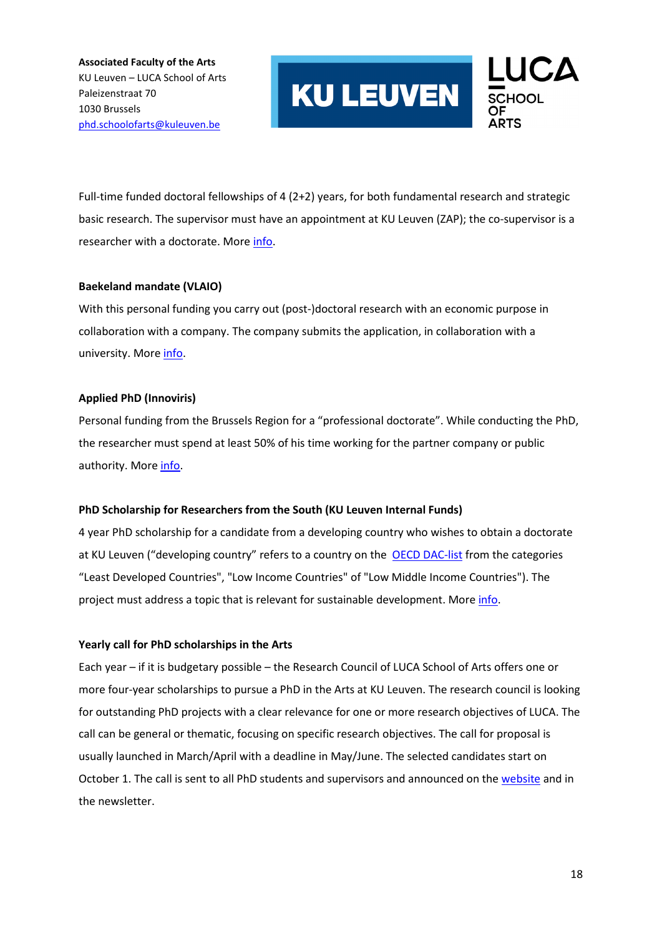

Full-time funded doctoral fellowships of 4 (2+2) years, for both fundamental research and strategic basic research. The supervisor must have an appointment at KU Leuven (ZAP); the co-supervisor is a researcher with a doctorate. Mor[e info.](file://luna.kuleuven.be/shares/CRD-Project_Onderzoek-33/Doctoraat%20in%20de%20Kunsten/CDidK/PROCEDURE/Handleidingen%20doctoraat%20in%20de%20kunsten/20211014_Manual%20for%20PhD%20researchers%20and%20supervisors%20in%20the%20Arts.docx)

#### **Baekeland mandate (VLAIO)**

With this personal funding you carry out (post-)doctoral research with an economic purpose in collaboration with a company. The company submits the application, in collaboration with a university. More [info.](https://www.vlaio.be/nl/subsidies-financiering/baekeland-mandaten/baekeland-mandates)

#### **Applied PhD (Innoviris)**

Personal funding from the Brussels Region for a "professional doctorate". While conducting the PhD, the researcher must spend at least 50% of his time working for the partner company or public authority. Mor[e info.](https://innoviris.brussels/applied-phd)

#### **PhD Scholarship for Researchers from the South (KU Leuven Internal Funds)**

4 year PhD scholarship for a candidate from a developing country who wishes to obtain a doctorate at KU Leuven ("developing country" refers to a country on the [OECD DAC-list](http://www.oecd.org/dac/financing-sustainable-development/development-finance-standards/DAC_List_ODA_Recipients2018to2020_flows_En.pdf) from the categories "Least Developed Countries", "Low Income Countries" of "Low Middle Income Countries"). The project must address a topic that is relevant for sustainable development. More [info.](https://www.kuleuven.be/onderzoek/gedocumenteerd/index_en.html#details/ecec501c82f32465f38b0a24df778f798a0fbddd)

#### **Yearly call for PhD scholarships in the Arts**

Each year – if it is budgetary possible – the Research Council of LUCA School of Arts offers one or more four-year scholarships to pursue a PhD in the Arts at KU Leuven. The research council is looking for outstanding PhD projects with a clear relevance for one or more research objectives of LUCA. The call can be general or thematic, focusing on specific research objectives. The call for proposal is usually launched in March/April with a deadline in May/June. The selected candidates start on October 1. The call is sent to all PhD students and supervisors and announced on the [website](https://www.luca-arts.be/en/doctorate-in-the-arts) and in the newsletter.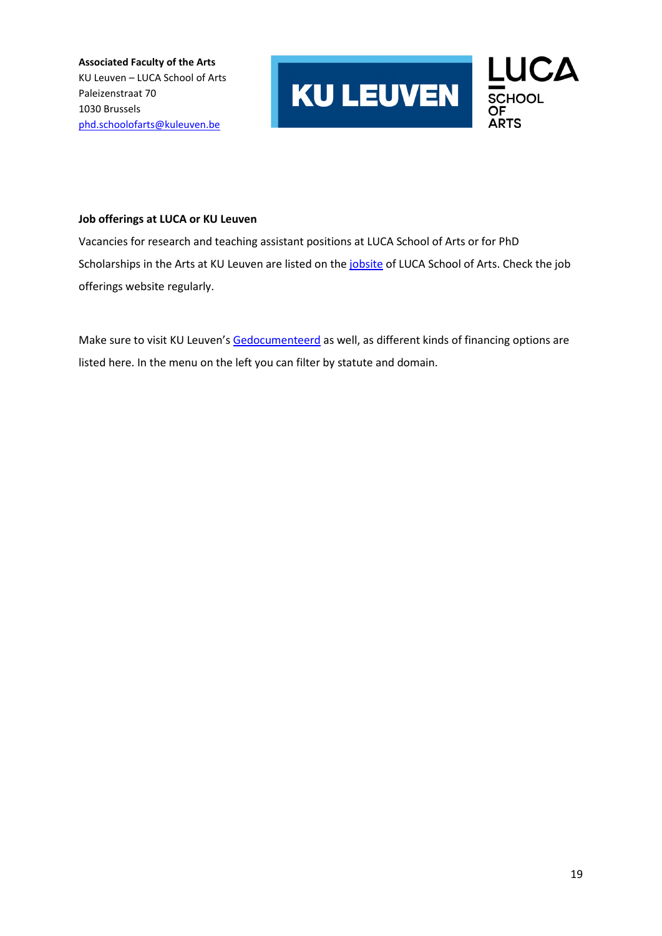

#### **Job offerings at LUCA or KU Leuven**

Vacancies for research and teaching assistant positions at LUCA School of Arts or for PhD Scholarships in the Arts at KU Leuven are listed on the *jobsite* of LUCA School of Arts. Check the job offerings website regularly.

Make sure to visit KU Leuven'[s Gedocumenteerd](https://www.kuleuven.be/onderzoek/gedocumenteerd) as well, as different kinds of financing options are listed here. In the menu on the left you can filter by statute and domain.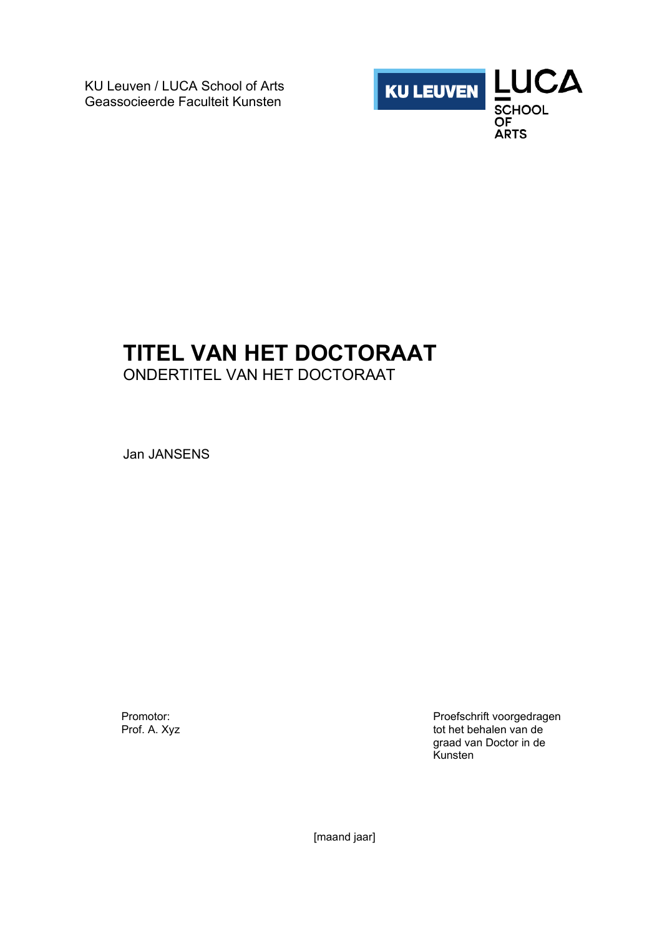KU Leuven / LUCA School of Arts Geassocieerde Faculteit Kunsten



# **TITEL VAN HET DOCTORAAT**

ONDERTITEL VAN HET DOCTORAAT

Jan JANSENS

Promotor: Prof. A. Xyz Proefschrift voorgedragen tot het behalen van de graad van Doctor in de Kunsten

[maand jaar]